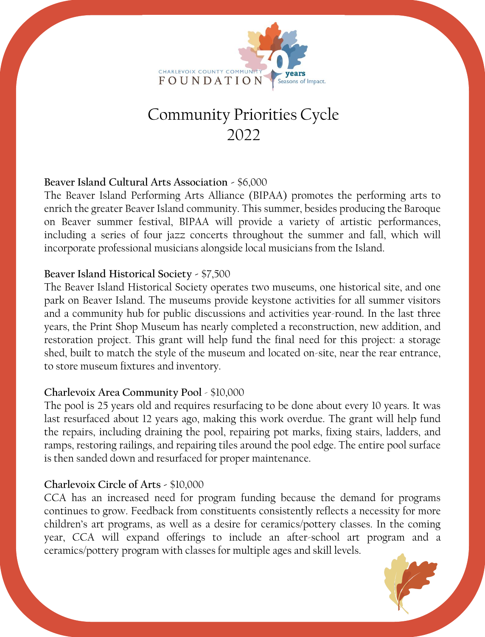

# Community Priorities Cycle 2022

# **Beaver Island Cultural Arts Association -** \$6,000

The Beaver Island Performing Arts Alliance (BIPAA) promotes the performing arts to enrich the greater Beaver Island community. This summer, besides producing the Baroque on Beaver summer festival, BIPAA will provide a variety of artistic performances, including a series of four jazz concerts throughout the summer and fall, which will incorporate professional musicians alongside local musicians from the Island.

# **Beaver Island Historical Society -** \$7,500

The Beaver Island Historical Society operates two museums, one historical site, and one park on Beaver Island. The museums provide keystone activities for all summer visitors and a community hub for public discussions and activities year-round. In the last three years, the Print Shop Museum has nearly completed a reconstruction, new addition, and restoration project. This grant will help fund the final need for this project: a storage shed, built to match the style of the museum and located on-site, near the rear entrance, to store museum fixtures and inventory.

## **Charlevoix Area Community Pool** - \$10,000

The pool is 25 years old and requires resurfacing to be done about every 10 years. It was last resurfaced about 12 years ago, making this work overdue. The grant will help fund the repairs, including draining the pool, repairing pot marks, fixing stairs, ladders, and ramps, restoring railings, and repairing tiles around the pool edge. The entire pool surface is then sanded down and resurfaced for proper maintenance.

# **Charlevoix Circle of Arts -** \$10,000

CCA has an increased need for program funding because the demand for programs continues to grow. Feedback from constituents consistently reflects a necessity for more children's art programs, as well as a desire for ceramics/pottery classes. In the coming year, CCA will expand offerings to include an after-school art program and a ceramics/pottery program with classes for multiple ages and skill levels.

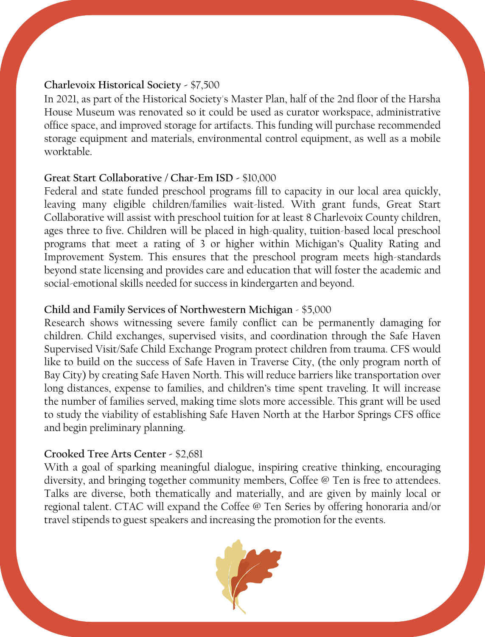#### **Charlevoix Historical Society -** \$7,500

In 2021, as part of the Historical Society's Master Plan, half of the 2nd floor of the Harsha House Museum was renovated so it could be used as curator workspace, administrative office space, and improved storage for artifacts. This funding will purchase recommended storage equipment and materials, environmental control equipment, as well as a mobile worktable.

# **Great Start Collaborative / Char-Em ISD -** \$10,000

Federal and state funded preschool programs fill to capacity in our local area quickly, leaving many eligible children/families wait-listed. With grant funds, Great Start Collaborative will assist with preschool tuition for at least 8 Charlevoix County children, ages three to five. Children will be placed in high-quality, tuition-based local preschool programs that meet a rating of 3 or higher within Michigan's Quality Rating and Improvement System. This ensures that the preschool program meets high-standards beyond state licensing and provides care and education that will foster the academic and social-emotional skills needed for success in kindergarten and beyond.

# **Child and Family Services of Northwestern Michigan** - \$5,000

Research shows witnessing severe family conflict can be permanently damaging for children. Child exchanges, supervised visits, and coordination through the Safe Haven Supervised Visit/Safe Child Exchange Program protect children from trauma. CFS would like to build on the success of Safe Haven in Traverse City, (the only program north of Bay City) by creating Safe Haven North. This will reduce barriers like transportation over long distances, expense to families, and children's time spent traveling. It will increase the number of families served, making time slots more accessible. This grant will be used to study the viability of establishing Safe Haven North at the Harbor Springs CFS office and begin preliminary planning.

# **Crooked Tree Arts Center -** \$2,681

With a goal of sparking meaningful dialogue, inspiring creative thinking, encouraging diversity, and bringing together community members, Coffee @ Ten is free to attendees. Talks are diverse, both thematically and materially, and are given by mainly local or regional talent. CTAC will expand the Coffee @ Ten Series by offering honoraria and/or travel stipends to guest speakers and increasing the promotion for the events.

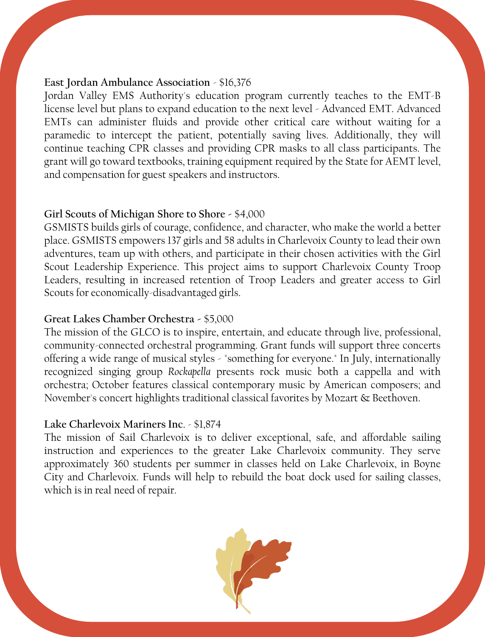#### **East Jordan Ambulance Association** - \$16,376

Jordan Valley EMS Authority's education program currently teaches to the EMT-B license level but plans to expand education to the next level - Advanced EMT. Advanced EMTs can administer fluids and provide other critical care without waiting for a paramedic to intercept the patient, potentially saving lives. Additionally, they will continue teaching CPR classes and providing CPR masks to all class participants. The grant will go toward textbooks, training equipment required by the State for AEMT level, and compensation for guest speakers and instructors.

#### **Girl Scouts of Michigan Shore to Shore -** \$4,000

GSMISTS builds girls of courage, confidence, and character, who make the world a better place. GSMISTS empowers 137 girls and 58 adults in Charlevoix County to lead their own adventures, team up with others, and participate in their chosen activities with the Girl Scout Leadership Experience. This project aims to support Charlevoix County Troop Leaders, resulting in increased retention of Troop Leaders and greater access to Girl Scouts for economically-disadvantaged girls.

## **Great Lakes Chamber Orchestra -** \$5,000

The mission of the GLCO is to inspire, entertain, and educate through live, professional, community-connected orchestral programming. Grant funds will support three concerts offering a wide range of musical styles - "something for everyone." In July, internationally recognized singing group *Rockapella* presents rock music both a cappella and with orchestra; October features classical contemporary music by American composers; and November's concert highlights traditional classical favorites by Mozart & Beethoven.

## **Lake Charlevoix Mariners Inc**. - \$1,874

The mission of Sail Charlevoix is to deliver exceptional, safe, and affordable sailing instruction and experiences to the greater Lake Charlevoix community. They serve approximately 360 students per summer in classes held on Lake Charlevoix, in Boyne City and Charlevoix. Funds will help to rebuild the boat dock used for sailing classes, which is in real need of repair.